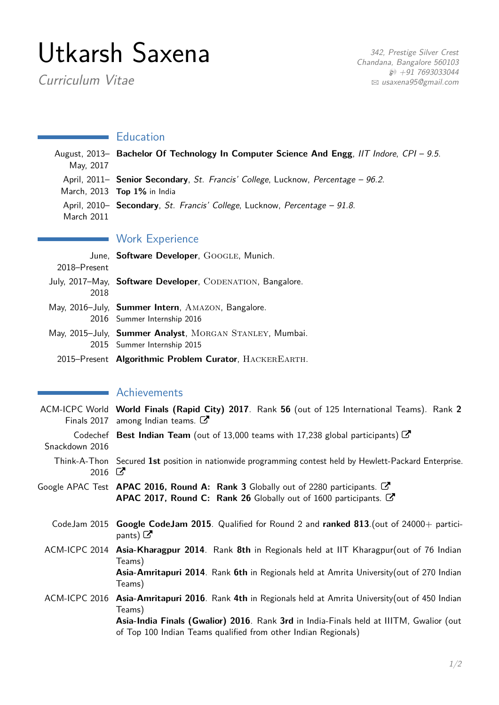# Utkarsh Saxena

Curriculum Vitae

342, Prestige Silver Crest Chandana, Bangalore 560103  $$+91$  7693033044 B [usaxena95@gmail.com](mailto:usaxena95@gmail.com)

## **Education**

| May, 2017    | August, 2013- Bachelor Of Technology In Computer Science And Engg, IIT Indore, CPI - 9.5.                            |
|--------------|----------------------------------------------------------------------------------------------------------------------|
|              | April, 2011– Senior Secondary, St. Francis' College, Lucknow, Percentage – 96.2.<br>March, $2013$ Top $1\%$ in India |
| March 2011   | April, 2010– <b>Secondary</b> , <i>St. Francis' College</i> , Lucknow, <i>Percentage</i> – 91.8.                     |
|              | <b>Work Experience</b>                                                                                               |
| 2018–Present | June, Software Developer, GOOGLE, Munich.                                                                            |
| 2018         | July, 2017-May, Software Developer, CODENATION, Bangalore.                                                           |
|              | May, 2016–July, Summer Intern, AMAZON, Bangalore.                                                                    |

2016 Summer Internship 2016 May, 2015-July, Summer Analyst, MORGAN STANLEY, Mumbai.

2015 Summer Internship 2015

2015–Present **Algorithmic Problem Curator**, HackerEarth.

## **Achievements**

|                | ACM-ICPC World World Finals (Rapid City) 2017. Rank 56 (out of 125 International Teams). Rank 2<br>Finals 2017 among Indian teams. $\mathbb{Z}$                                                                                                                              |
|----------------|------------------------------------------------------------------------------------------------------------------------------------------------------------------------------------------------------------------------------------------------------------------------------|
| Snackdown 2016 | Codechef Best Indian Team (out of 13,000 teams with 17,238 global participants) $\mathbb{C}$                                                                                                                                                                                 |
| 2016 $\sigma$  | Think-A-Thon Secured 1st position in nationwide programming contest held by Hewlett-Packard Enterprise.                                                                                                                                                                      |
|                | Google APAC Test APAC 2016, Round A: Rank 3 Globally out of 2280 participants. $\mathbb{C}$<br>APAC 2017, Round C: Rank 26 Globally out of 1600 participants. C                                                                                                              |
|                | CodeJam 2015 Google CodeJam 2015. Qualified for Round 2 and ranked 813. (out of 24000+ partici-<br>pants) $\mathbb{Z}$                                                                                                                                                       |
|                | ACM-ICPC 2014 Asia-Kharagpur 2014. Rank 8th in Regionals held at IIT Kharagpur(out of 76 Indian<br>Teams)<br>Asia-Amritapuri 2014. Rank 6th in Regionals held at Amrita University (out of 270 Indian<br>Teams)                                                              |
|                | ACM-ICPC 2016 Asia-Amritapuri 2016. Rank 4th in Regionals held at Amrita University (out of 450 Indian<br>Teams)<br>Asia-India Finals (Gwalior) 2016. Rank 3rd in India-Finals held at IIITM, Gwalior (out<br>of Top 100 Indian Teams qualified from other Indian Regionals) |